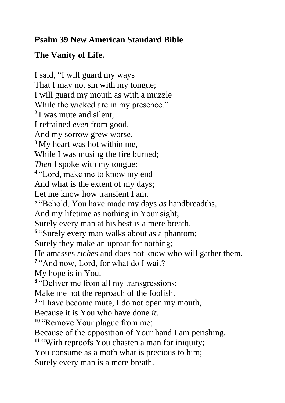## **Psalm 39 New American Standard Bible**

## **The Vanity of Life.**

I said, "I will guard my ways That I may not sin with my tongue; I will guard my mouth as with a muzzle While the wicked are in my presence." **2** I was mute and silent, I refrained *even* from good, And my sorrow grew worse. **<sup>3</sup>** My heart was hot within me, While I was musing the fire burned; *Then* I spoke with my tongue: **4** "Lord, make me to know my end And what is the extent of my days; Let me know how transient I am. **5** "Behold, You have made my days *as* handbreadths, And my lifetime as nothing in Your sight; Surely every man at his best is a mere breath. **6** "Surely every man walks about as a phantom; Surely they make an uproar for nothing; He amasses *riches* and does not know who will gather them. <sup>7</sup> "And now, Lord, for what do I wait? My hope is in You. **8** "Deliver me from all my transgressions; Make me not the reproach of the foolish. <sup>9</sup> "I have become mute, I do not open my mouth, Because it is You who have done *it*. **<sup>10</sup>** "Remove Your plague from me; Because of the opposition of Your hand I am perishing. **<sup>11</sup>** "With reproofs You chasten a man for iniquity; You consume as a moth what is precious to him; Surely every man is a mere breath.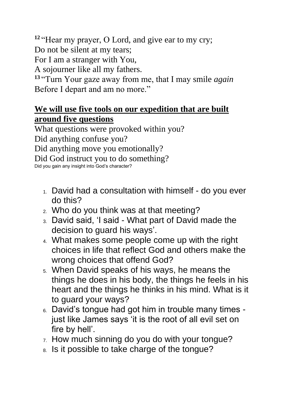**<sup>12</sup>** "Hear my prayer, O Lord, and give ear to my cry;

Do not be silent at my tears;

For I am a stranger with You,

A sojourner like all my fathers.

**<sup>13</sup>** "Turn Your gaze away from me, that I may smile *again* Before I depart and am no more."

## **We will use five tools on our expedition that are built around five questions**

What questions were provoked within you? Did anything confuse you? Did anything move you emotionally? Did God instruct you to do something? Did you gain any insight into God's character?

- 1. David had a consultation with himself do you ever do this?
- 2. Who do you think was at that meeting?
- 3. David said, 'I said What part of David made the decision to guard his ways'.
- 4. What makes some people come up with the right choices in life that reflect God and others make the wrong choices that offend God?
- 5. When David speaks of his ways, he means the things he does in his body, the things he feels in his heart and the things he thinks in his mind. What is it to guard your ways?
- 6. David's tongue had got him in trouble many times just like James says 'it is the root of all evil set on fire by hell'.
- 7. How much sinning do you do with your tongue?
- 8. Is it possible to take charge of the tongue?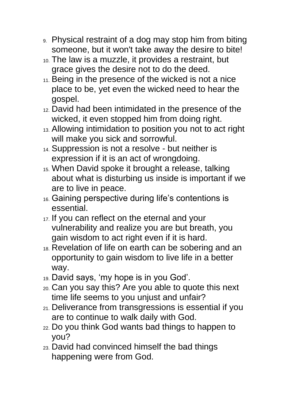- 9. Physical restraint of a dog may stop him from biting someone, but it won't take away the desire to bite!
- 10. The law is a muzzle, it provides a restraint, but grace gives the desire not to do the deed.
- 11. Being in the presence of the wicked is not a nice place to be, yet even the wicked need to hear the gospel.
- 12. David had been intimidated in the presence of the wicked, it even stopped him from doing right.
- 13. Allowing intimidation to position you not to act right will make you sick and sorrowful.
- 14. Suppression is not a resolve but neither is expression if it is an act of wrongdoing.
- 15. When David spoke it brought a release, talking about what is disturbing us inside is important if we are to live in peace.
- 16. Gaining perspective during life's contentions is essential.
- 17. If you can reflect on the eternal and your vulnerability and realize you are but breath, you gain wisdom to act right even if it is hard.
- 18. Revelation of life on earth can be sobering and an opportunity to gain wisdom to live life in a better way.
- 19. David says, 'my hope is in you God'.
- 20. Can you say this? Are you able to quote this next time life seems to you unjust and unfair?
- 21. Deliverance from transgressions is essential if you are to continue to walk daily with God.
- 22. Do you think God wants bad things to happen to you?
- 23. David had convinced himself the bad things happening were from God.